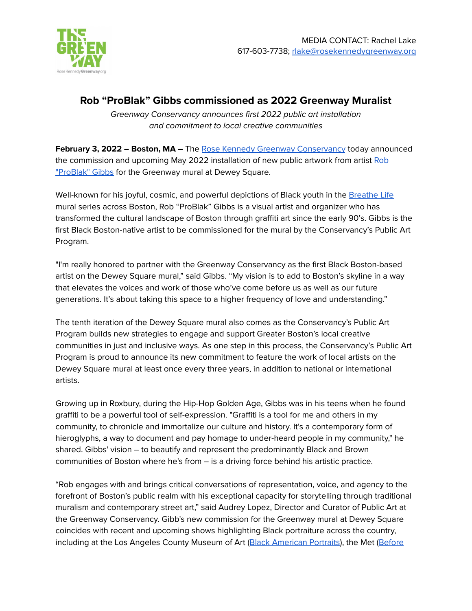

## **Rob "ProBlak" Gibbs commissioned as 2022 Greenway Muralist**

Greenway Conservancy announces first 2022 public art installation and commitment to local creative communities

**February 3, 2022 – Boston, MA –** The Rose Kennedy Greenway [Conservancy](http://rosekennedygreenway.org) today announced the commission and upcoming May 2022 installation of new public artwork from artist [Rob](https://www.problak.com/) ["ProBlak"](https://www.problak.com/) Gibbs for the Greenway mural at Dewey Square.

Well-known for his joyful, cosmic, and powerful depictions of Black youth in the [Breathe](https://www.problak.com/exterior-1/breathe-life1) Life mural series across Boston, Rob "ProBlak" Gibbs is a visual artist and organizer who has transformed the cultural landscape of Boston through graffiti art since the early 90's. Gibbs is the first Black Boston-native artist to be commissioned for the mural by the Conservancy's Public Art Program.

"I'm really honored to partner with the Greenway Conservancy as the first Black Boston-based artist on the Dewey Square mural," said Gibbs. "My vision is to add to Boston's skyline in a way that elevates the voices and work of those who've come before us as well as our future generations. It's about taking this space to a higher frequency of love and understanding."

The tenth iteration of the Dewey Square mural also comes as the Conservancy's Public Art Program builds new strategies to engage and support Greater Boston's local creative communities in just and inclusive ways. As one step in this process, the Conservancy's Public Art Program is proud to announce its new commitment to feature the work of local artists on the Dewey Square mural at least once every three years, in addition to national or international artists.

Growing up in Roxbury, during the Hip-Hop Golden Age, Gibbs was in his teens when he found graffiti to be a powerful tool of self-expression. "Graffiti is a tool for me and others in my community, to chronicle and immortalize our culture and history. It's a contemporary form of hieroglyphs, a way to document and pay homage to under-heard people in my community," he shared. Gibbs' vision – to beautify and represent the predominantly Black and Brown communities of Boston where he's from – is a driving force behind his artistic practice.

"Rob engages with and brings critical conversations of representation, voice, and agency to the forefront of Boston's public realm with his exceptional capacity for storytelling through traditional muralism and contemporary street art," said Audrey Lopez, Director and Curator of Public Art at the Greenway Conservancy. Gibb's new commission for the Greenway mural at Dewey Square coincides with recent and upcoming shows highlighting Black portraiture across the country, including at the Los Angeles County Museum of Art (Black [American](https://www.lacma.org/art/exhibition/black-american-portraits) Portraits), the Met ([Before](https://www.metmuseum.org/exhibitions/listings/2021/afrofuturist-period-room/visiting-guide)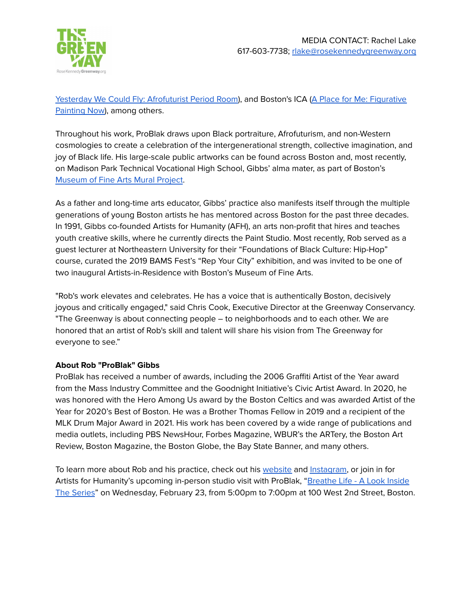

Yesterday We Could Fly: [Afrofuturist](https://www.metmuseum.org/exhibitions/listings/2021/afrofuturist-period-room/visiting-guide) Period Room), and Boston's ICA (A Place for Me: [Figurative](https://www.icaboston.org/exhibitions/place-me-figurative-painting-now) [Painting](https://www.icaboston.org/exhibitions/place-me-figurative-painting-now) Now), among others.

Throughout his work, ProBlak draws upon Black portraiture, Afrofuturism, and non-Western cosmologies to create a celebration of the intergenerational strength, collective imagination, and joy of Black life. His large-scale public artworks can be found across Boston and, most recently, on Madison Park Technical Vocational High School, Gibbs' alma mater, as part of Boston's [Museum](https://www.mfa.org/exhibition/the-mural-project) of Fine Arts Mural Project.

As a father and long-time arts educator, Gibbs' practice also manifests itself through the multiple generations of young Boston artists he has mentored across Boston for the past three decades. In 1991, Gibbs co-founded Artists for Humanity (AFH), an arts non-profit that hires and teaches youth creative skills, where he currently directs the Paint Studio. Most recently, Rob served as a guest lecturer at Northeastern University for their "Foundations of Black Culture: Hip-Hop" course, curated the 2019 BAMS Fest's "Rep Your City" exhibition, and was invited to be one of two inaugural Artists-in-Residence with Boston's Museum of Fine Arts.

"Rob's work elevates and celebrates. He has a voice that is authentically Boston, decisively joyous and critically engaged," said Chris Cook, Executive Director at the Greenway Conservancy. "The Greenway is about connecting people – to neighborhoods and to each other. We are honored that an artist of Rob's skill and talent will share his vision from The Greenway for everyone to see."

## **About Rob "ProBlak" Gibbs**

ProBlak has received a number of awards, including the 2006 Graffiti Artist of the Year award from the Mass Industry Committee and the Goodnight Initiative's Civic Artist Award. In 2020, he was honored with the Hero Among Us award by the Boston Celtics and was awarded Artist of the Year for 2020's Best of Boston. He was a Brother Thomas Fellow in 2019 and a recipient of the MLK Drum Major Award in 2021. His work has been covered by a wide range of publications and media outlets, including PBS NewsHour, Forbes Magazine, WBUR's the ARTery, the Boston Art Review, Boston Magazine, the Boston Globe, the Bay State Banner, and many others.

To learn more about Rob and his practice, check out his [website](http://www.problak.com/) and [Instagram,](http://www.problak.com/) or join in for Artists for Humanity's upcoming in-person studio visit with ProBlak, "[Breathe](https://www.afhboston.org/open-studio) Life - A Look Inside The [Series](https://www.afhboston.org/open-studio)" on Wednesday, February 23, from 5:00pm to 7:00pm at 100 West 2nd Street, Boston.